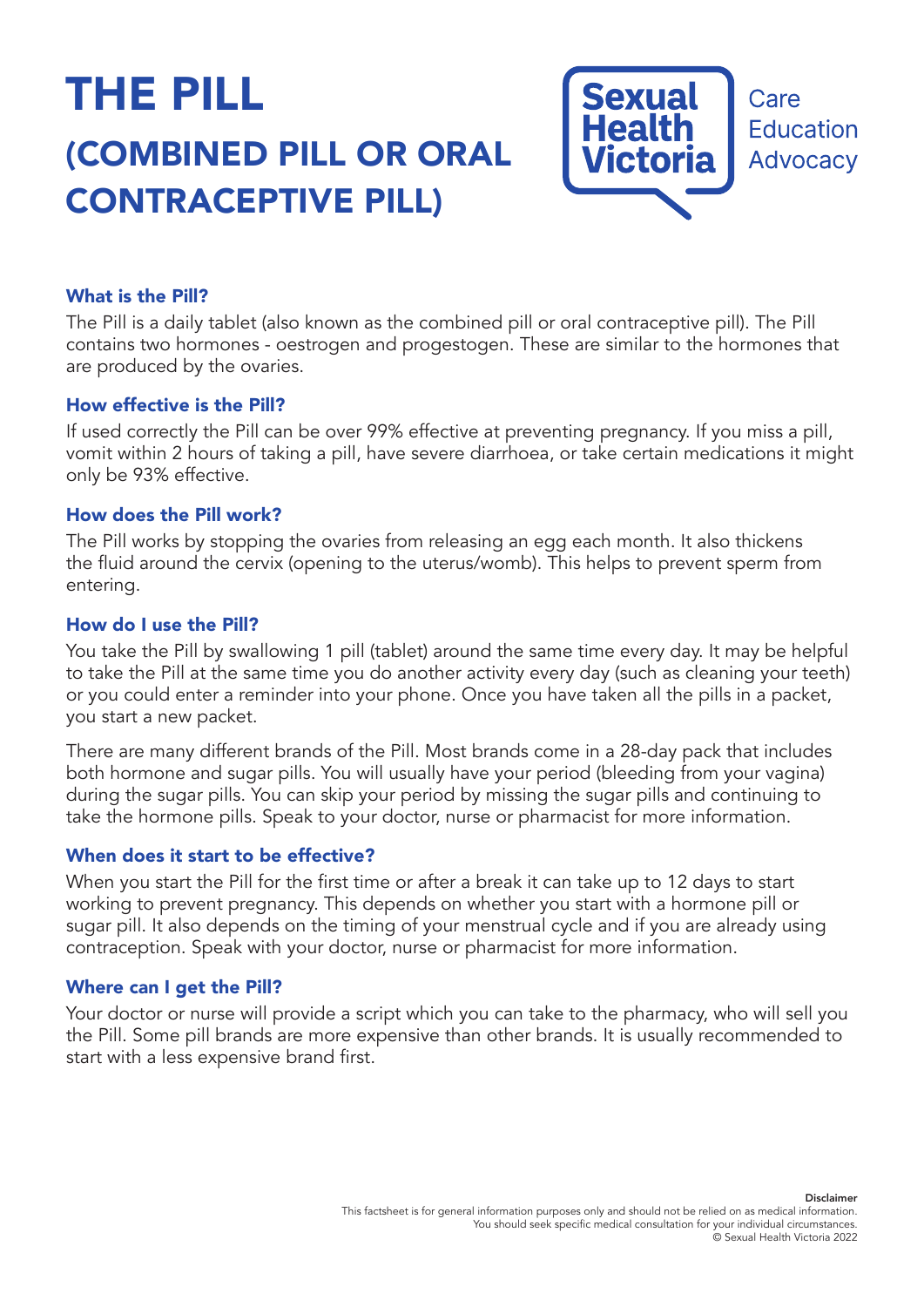# THE PILL (COMBINED PILL OR ORAL CONTRACEPTIVE PILL)



#### What is the Pill?

The Pill is a daily tablet (also known as the combined pill or oral contraceptive pill). The Pill contains two hormones - oestrogen and progestogen. These are similar to the hormones that are produced by the ovaries.

#### How effective is the Pill?

If used correctly the Pill can be over 99% effective at preventing pregnancy. If you miss a pill, vomit within 2 hours of taking a pill, have severe diarrhoea, or take certain medications it might only be 93% effective.

#### How does the Pill work?

The Pill works by stopping the ovaries from releasing an egg each month. It also thickens the fluid around the cervix (opening to the uterus/womb). This helps to prevent sperm from entering.

#### How do I use the Pill?

You take the Pill by swallowing 1 pill (tablet) around the same time every day. It may be helpful to take the Pill at the same time you do another activity every day (such as cleaning your teeth) or you could enter a reminder into your phone. Once you have taken all the pills in a packet, you start a new packet.

There are many different brands of the Pill. Most brands come in a 28-day pack that includes both hormone and sugar pills. You will usually have your period (bleeding from your vagina) during the sugar pills. You can skip your period by missing the sugar pills and continuing to take the hormone pills. Speak to your doctor, nurse or pharmacist for more information.

#### When does it start to be effective?

When you start the Pill for the first time or after a break it can take up to 12 days to start working to prevent pregnancy. This depends on whether you start with a hormone pill or sugar pill. It also depends on the timing of your menstrual cycle and if you are already using contraception. Speak with your doctor, nurse or pharmacist for more information.

#### Where can I get the Pill?

Your doctor or nurse will provide a script which you can take to the pharmacy, who will sell you the Pill. Some pill brands are more expensive than other brands. It is usually recommended to start with a less expensive brand first.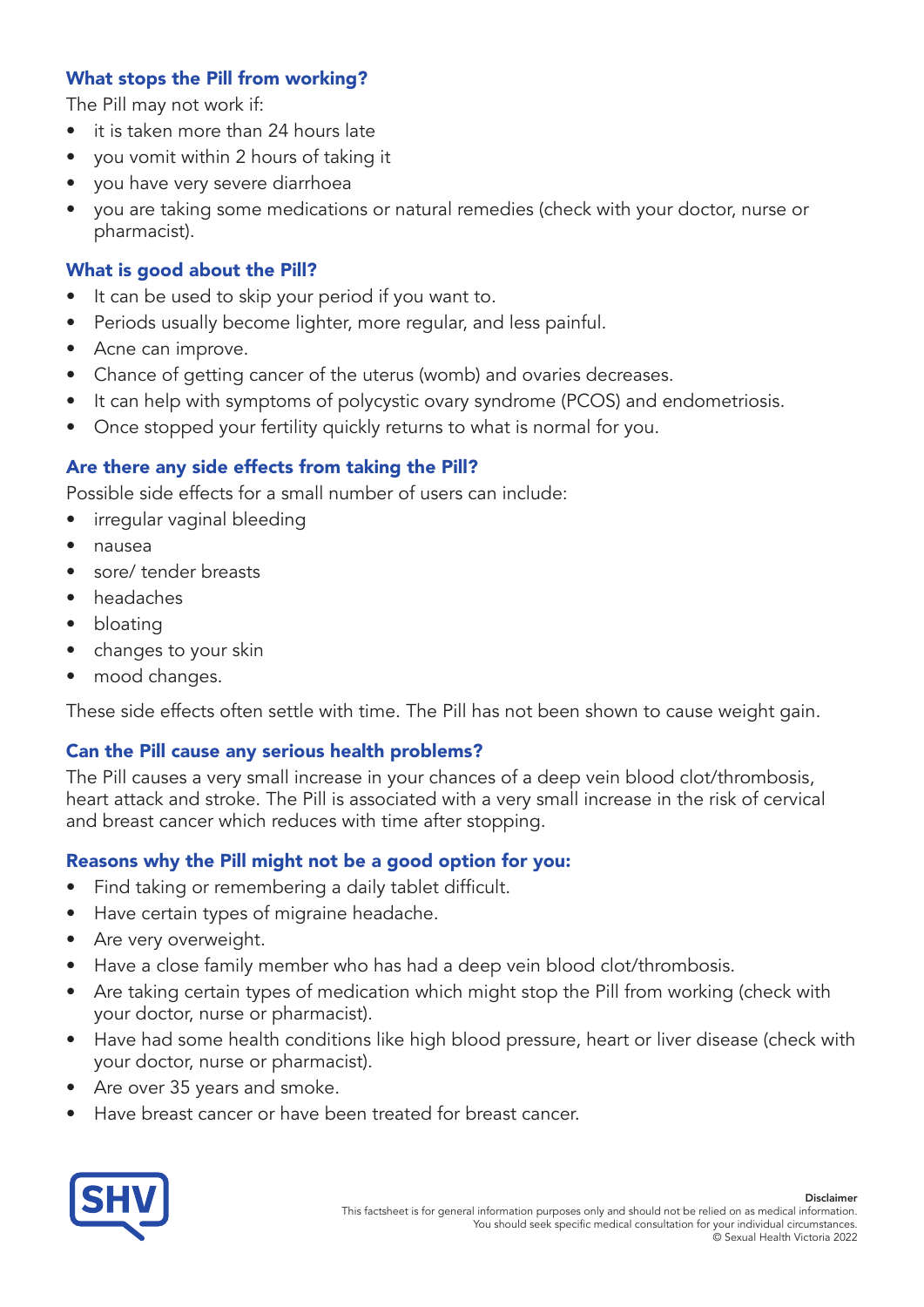# What stops the Pill from working?

The Pill may not work if:

- it is taken more than 24 hours late
- you vomit within 2 hours of taking it
- you have very severe diarrhoea
- you are taking some medications or natural remedies (check with your doctor, nurse or pharmacist).

## What is good about the Pill?

- It can be used to skip your period if you want to.
- Periods usually become lighter, more regular, and less painful.
- Acne can improve.
- Chance of getting cancer of the uterus (womb) and ovaries decreases.
- It can help with symptoms of polycystic ovary syndrome (PCOS) and endometriosis.
- Once stopped your fertility quickly returns to what is normal for you.

### Are there any side effects from taking the Pill?

Possible side effects for a small number of users can include:

- irregular vaginal bleeding
- nausea
- sore/ tender breasts
- headaches
- bloating
- changes to your skin
- mood changes.

These side effects often settle with time. The Pill has not been shown to cause weight gain.

### Can the Pill cause any serious health problems?

The Pill causes a very small increase in your chances of a deep vein blood clot/thrombosis, heart attack and stroke. The Pill is associated with a very small increase in the risk of cervical and breast cancer which reduces with time after stopping.

### Reasons why the Pill might not be a good option for you:

- Find taking or remembering a daily tablet difficult.
- Have certain types of migraine headache.
- Are very overweight.
- Have a close family member who has had a deep vein blood clot/thrombosis.
- Are taking certain types of medication which might stop the Pill from working (check with your doctor, nurse or pharmacist).
- Have had some health conditions like high blood pressure, heart or liver disease (check with your doctor, nurse or pharmacist).
- Are over 35 years and smoke.
- Have breast cancer or have been treated for breast cancer.